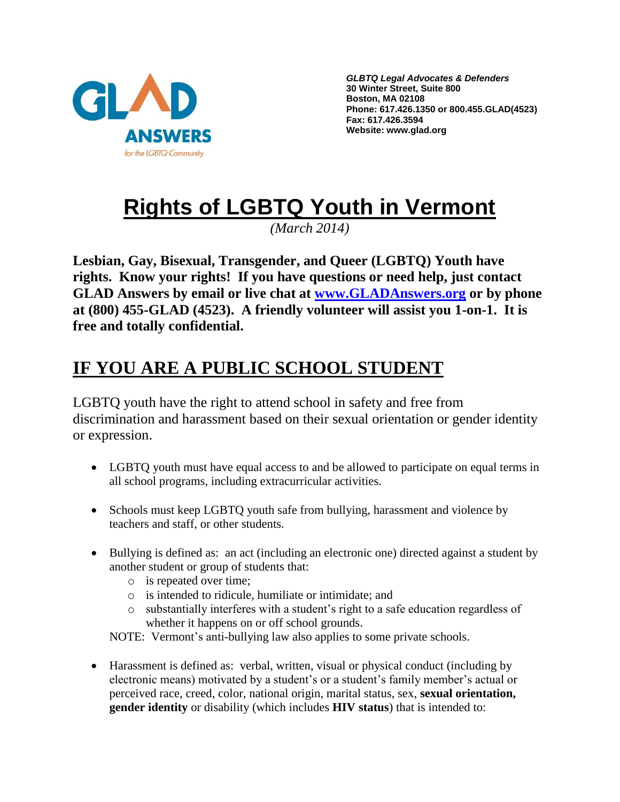

*GLBTQ Legal Advocates & Defenders* **30 Winter Street, Suite 800 Boston, MA 02108 Phone: 617.426.1350 or 800.455.GLAD(4523) Fax: 617.426.3594 Website: www.glad.org**

# **Rights of LGBTQ Youth in Vermont**

*(March 2014)*

**Lesbian, Gay, Bisexual, Transgender, and Queer (LGBTQ) Youth have rights. Know your rights! If you have questions or need help, just contact GLAD Answers by email or live chat at [www.GLADAnswers.org](http://www.gladanswers.org/) or by phone at (800) 455-GLAD (4523). A friendly volunteer will assist you 1-on-1. It is free and totally confidential.** 

## **IF YOU ARE A PUBLIC SCHOOL STUDENT**

LGBTQ youth have the right to attend school in safety and free from discrimination and harassment based on their sexual orientation or gender identity or expression.

- LGBTQ youth must have equal access to and be allowed to participate on equal terms in all school programs, including extracurricular activities.
- Schools must keep LGBTQ youth safe from bullying, harassment and violence by teachers and staff, or other students.
- Bullying is defined as: an act (including an electronic one) directed against a student by another student or group of students that:
	- o is repeated over time;
	- o is intended to ridicule, humiliate or intimidate; and
	- o substantially interferes with a student's right to a safe education regardless of whether it happens on or off school grounds.

NOTE: Vermont's anti-bullying law also applies to some private schools.

 Harassment is defined as: verbal, written, visual or physical conduct (including by electronic means) motivated by a student's or a student's family member's actual or perceived race, creed, color, national origin, marital status, sex, **sexual orientation, gender identity** or disability (which includes **HIV status**) that is intended to: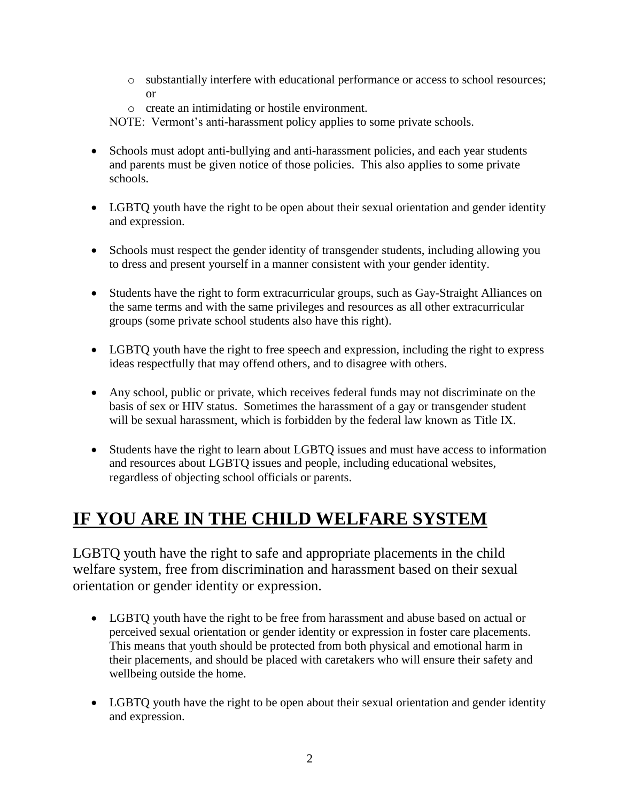- o substantially interfere with educational performance or access to school resources; or
- o create an intimidating or hostile environment.

NOTE: Vermont's anti-harassment policy applies to some private schools.

- Schools must adopt anti-bullying and anti-harassment policies, and each year students and parents must be given notice of those policies. This also applies to some private schools.
- LGBTO youth have the right to be open about their sexual orientation and gender identity and expression.
- Schools must respect the gender identity of transgender students, including allowing you to dress and present yourself in a manner consistent with your gender identity.
- Students have the right to form extracurricular groups, such as Gay-Straight Alliances on the same terms and with the same privileges and resources as all other extracurricular groups (some private school students also have this right).
- LGBTQ youth have the right to free speech and expression, including the right to express ideas respectfully that may offend others, and to disagree with others.
- Any school, public or private, which receives federal funds may not discriminate on the basis of sex or HIV status. Sometimes the harassment of a gay or transgender student will be sexual harassment, which is forbidden by the federal law known as Title IX.
- Students have the right to learn about LGBTQ issues and must have access to information and resources about LGBTQ issues and people, including educational websites, regardless of objecting school officials or parents.

## **IF YOU ARE IN THE CHILD WELFARE SYSTEM**

LGBTQ youth have the right to safe and appropriate placements in the child welfare system, free from discrimination and harassment based on their sexual orientation or gender identity or expression.

- LGBTQ youth have the right to be free from harassment and abuse based on actual or perceived sexual orientation or gender identity or expression in foster care placements. This means that youth should be protected from both physical and emotional harm in their placements, and should be placed with caretakers who will ensure their safety and wellbeing outside the home.
- LGBTQ youth have the right to be open about their sexual orientation and gender identity and expression.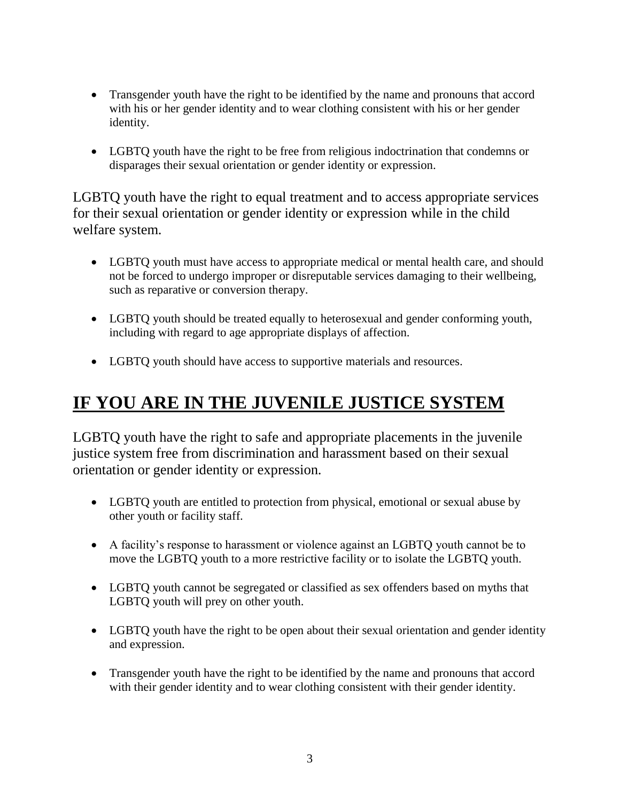- Transgender youth have the right to be identified by the name and pronouns that accord with his or her gender identity and to wear clothing consistent with his or her gender identity.
- LGBTQ youth have the right to be free from religious indoctrination that condemns or disparages their sexual orientation or gender identity or expression.

LGBTQ youth have the right to equal treatment and to access appropriate services for their sexual orientation or gender identity or expression while in the child welfare system.

- LGBTQ youth must have access to appropriate medical or mental health care, and should not be forced to undergo improper or disreputable services damaging to their wellbeing, such as reparative or conversion therapy.
- LGBTQ youth should be treated equally to heterosexual and gender conforming youth, including with regard to age appropriate displays of affection.
- LGBTQ youth should have access to supportive materials and resources.

## **IF YOU ARE IN THE JUVENILE JUSTICE SYSTEM**

LGBTQ youth have the right to safe and appropriate placements in the juvenile justice system free from discrimination and harassment based on their sexual orientation or gender identity or expression.

- LGBTO youth are entitled to protection from physical, emotional or sexual abuse by other youth or facility staff.
- A facility's response to harassment or violence against an LGBTQ youth cannot be to move the LGBTQ youth to a more restrictive facility or to isolate the LGBTQ youth.
- LGBTQ youth cannot be segregated or classified as sex offenders based on myths that LGBTQ youth will prey on other youth.
- LGBTQ youth have the right to be open about their sexual orientation and gender identity and expression.
- Transgender youth have the right to be identified by the name and pronouns that accord with their gender identity and to wear clothing consistent with their gender identity.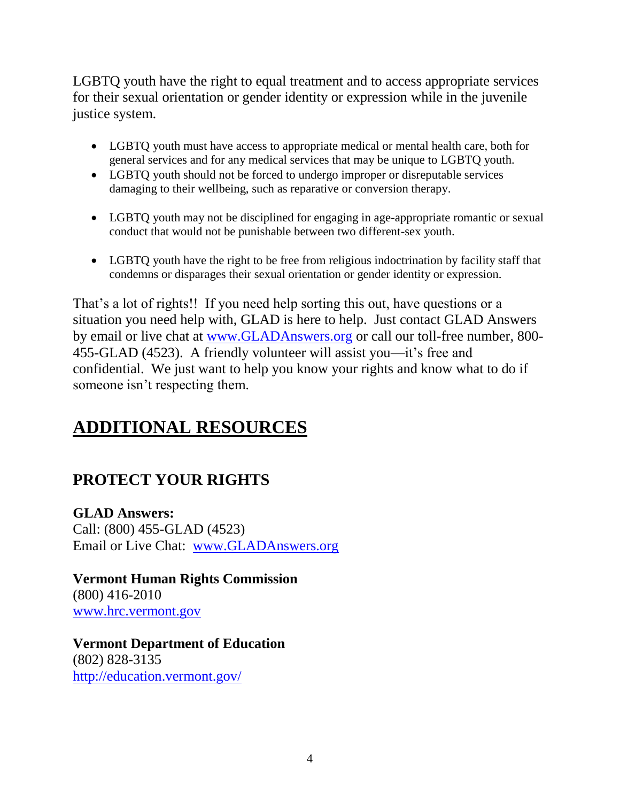LGBTQ youth have the right to equal treatment and to access appropriate services for their sexual orientation or gender identity or expression while in the juvenile justice system.

- LGBTQ youth must have access to appropriate medical or mental health care, both for general services and for any medical services that may be unique to LGBTQ youth.
- LGBTQ youth should not be forced to undergo improper or disreputable services damaging to their wellbeing, such as reparative or conversion therapy.
- LGBTQ youth may not be disciplined for engaging in age-appropriate romantic or sexual conduct that would not be punishable between two different-sex youth.
- LGBTQ youth have the right to be free from religious indoctrination by facility staff that condemns or disparages their sexual orientation or gender identity or expression.

That's a lot of rights!! If you need help sorting this out, have questions or a situation you need help with, GLAD is here to help. Just contact GLAD Answers by email or live chat at [www.GLADAnswers.org](http://www.gladanswers.org/) or call our toll-free number, 800- 455-GLAD (4523). A friendly volunteer will assist you—it's free and confidential. We just want to help you know your rights and know what to do if someone isn't respecting them.

## **ADDITIONAL RESOURCES**

### **PROTECT YOUR RIGHTS**

**GLAD Answers:** Call: (800) 455-GLAD (4523) Email or Live Chat: [www.GLADAnswers.org](http://www.gladanswers.org/)

**Vermont Human Rights Commission** (800) 416-2010 [www.hrc.vermont.gov](http://www.hrc.vermont.gov/)

**Vermont Department of Education** (802) 828-3135 <http://education.vermont.gov/>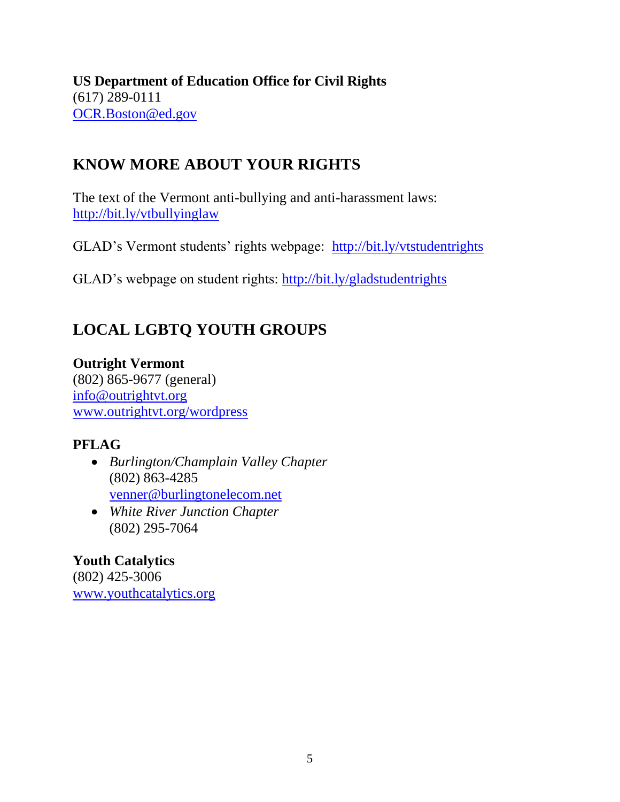**US Department of Education Office for Civil Rights** (617) 289-0111 [OCR.Boston@ed.gov](mailto:OCR.Boston@ed.gov) 

### **KNOW MORE ABOUT YOUR RIGHTS**

The text of the Vermont anti-bullying and anti-harassment laws: <http://bit.ly/vtbullyinglaw>

GLAD's Vermont students' rights webpage: <http://bit.ly/vtstudentrights>

GLAD's webpage on student rights:<http://bit.ly/gladstudentrights>

## **LOCAL LGBTQ YOUTH GROUPS**

**Outright Vermont** (802) 865-9677 (general) [info@outrightvt.org](mailto:info@outrightvt.org)  [www.outrightvt.org/wordpress](http://www.outrightvt.org/wordpress)

#### **PFLAG**

- *Burlington/Champlain Valley Chapter* (802) 863-4285 [venner@burlingtonelecom.net](mailto:venner@burlingtonelecom.net)
- *White River Junction Chapter* (802) 295-7064

**Youth Catalytics** (802) 425-3006 [www.youthcatalytics.org](http://www.youthcatalytics.org/)